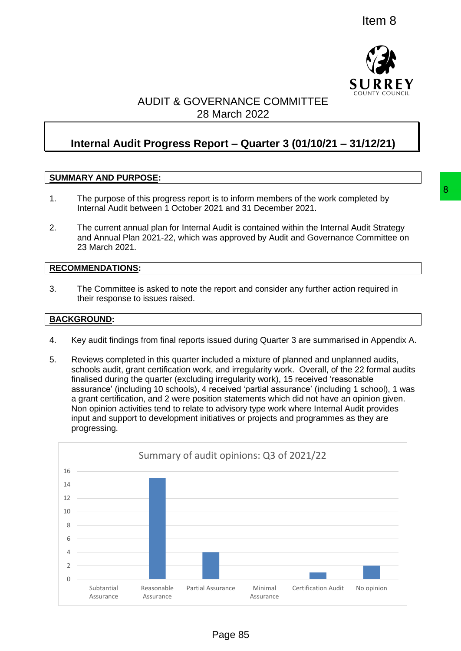

# AUDIT & GOVERNANCE COMMITTEE 28 March 2022

# **Internal Audit Progress Report – Quarter 3 (01/10/21 – 31/12/21)**

# **SUMMARY AND PURPOSE:**

- 1. The purpose of this progress report is to inform members of the work completed by Internal Audit between 1 October 2021 and 31 December 2021.
- 2. The current annual plan for Internal Audit is contained within the Internal Audit Strategy and Annual Plan 2021-22, which was approved by Audit and Governance Committee on 23 March 2021.

#### **RECOMMENDATIONS:**

3. The Committee is asked to note the report and consider any further action required in their response to issues raised.

#### **BACKGROUND:**

- 4. Key audit findings from final reports issued during Quarter 3 are summarised in Appendix A.
- 5. Reviews completed in this quarter included a mixture of planned and unplanned audits, schools audit, grant certification work, and irregularity work. Overall, of the 22 formal audits finalised during the quarter (excluding irregularity work), 15 received 'reasonable assurance' (including 10 schools), 4 received 'partial assurance' (including 1 school), 1 was a grant certification, and 2 were position statements which did not have an opinion given. Non opinion activities tend to relate to advisory type work where Internal Audit provides input and support to development initiatives or projects and programmes as they are progressing.